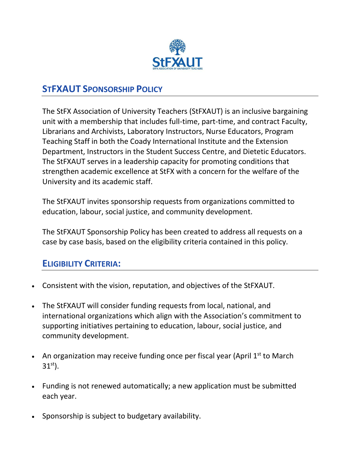

## **STFXAUT SPONSORSHIP POLICY**

The StFX Association of University Teachers (StFXAUT) is an inclusive bargaining unit with a membership that includes full-time, part-time, and contract Faculty, Librarians and Archivists, Laboratory Instructors, Nurse Educators, Program Teaching Staff in both the Coady International Institute and the Extension Department, Instructors in the Student Success Centre, and Dietetic Educators. The StFXAUT serves in a leadership capacity for promoting conditions that strengthen academic excellence at StFX with a concern for the welfare of the University and its academic staff.

The StFXAUT invites sponsorship requests from organizations committed to education, labour, social justice, and community development.

The StFXAUT Sponsorship Policy has been created to address all requests on a case by case basis, based on the eligibility criteria contained in this policy.

### **ELIGIBILITY CRITERIA:**

- Consistent with the vision, reputation, and objectives of the StFXAUT.
- The StFXAUT will consider funding requests from local, national, and international organizations which align with the Association's commitment to supporting initiatives pertaining to education, labour, social justice, and community development.
- An organization may receive funding once per fiscal year (April  $1<sup>st</sup>$  to March  $31^{st}$ ).
- Funding is not renewed automatically; a new application must be submitted each year.
- Sponsorship is subject to budgetary availability.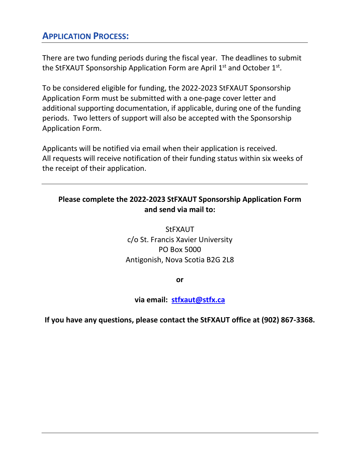## **APPLICATION PROCESS:**

There are two funding periods during the fiscal year. The deadlines to submit the StFXAUT Sponsorship Application Form are April  $1<sup>st</sup>$  and October  $1<sup>st</sup>$ .

To be considered eligible for funding, the 2022-2023 StFXAUT Sponsorship Application Form must be submitted with a one-page cover letter and additional supporting documentation, if applicable, during one of the funding periods. Two letters of support will also be accepted with the Sponsorship Application Form.

Applicants will be notified via email when their application is received. All requests will receive notification of their funding status within six weeks of the receipt of their application.

#### **Please complete the 2022-2023 StFXAUT Sponsorship Application Form and send via mail to:**

StFXAUT c/o St. Francis Xavier University PO Box 5000 Antigonish, Nova Scotia B2G 2L8

**or**

#### **via email: [stfxaut@stfx.ca](mailto:stfxaut@stfx.ca)**

**If you have any questions, please contact the StFXAUT office at (902) 867-3368.**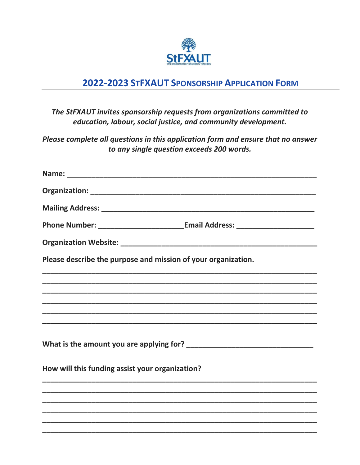

## 2022-2023 STFXAUT SPONSORSHIP APPLICATION FORM

#### The StFXAUT invites sponsorship requests from organizations committed to education, labour, social justice, and community development.

Please complete all questions in this application form and ensure that no answer to any single question exceeds 200 words.

|                                                               | Phone Number: _______________________________Email Address: _____________________                                     |
|---------------------------------------------------------------|-----------------------------------------------------------------------------------------------------------------------|
|                                                               |                                                                                                                       |
| Please describe the purpose and mission of your organization. |                                                                                                                       |
|                                                               |                                                                                                                       |
|                                                               |                                                                                                                       |
|                                                               |                                                                                                                       |
|                                                               |                                                                                                                       |
|                                                               |                                                                                                                       |
|                                                               |                                                                                                                       |
| How will this funding assist your organization?               |                                                                                                                       |
|                                                               |                                                                                                                       |
|                                                               |                                                                                                                       |
|                                                               | <u> 1989 - Johann Stoff, amerikan bestein de stad in de stad in de stad in de stad in de stad in de stad in de st</u> |
|                                                               |                                                                                                                       |
|                                                               |                                                                                                                       |